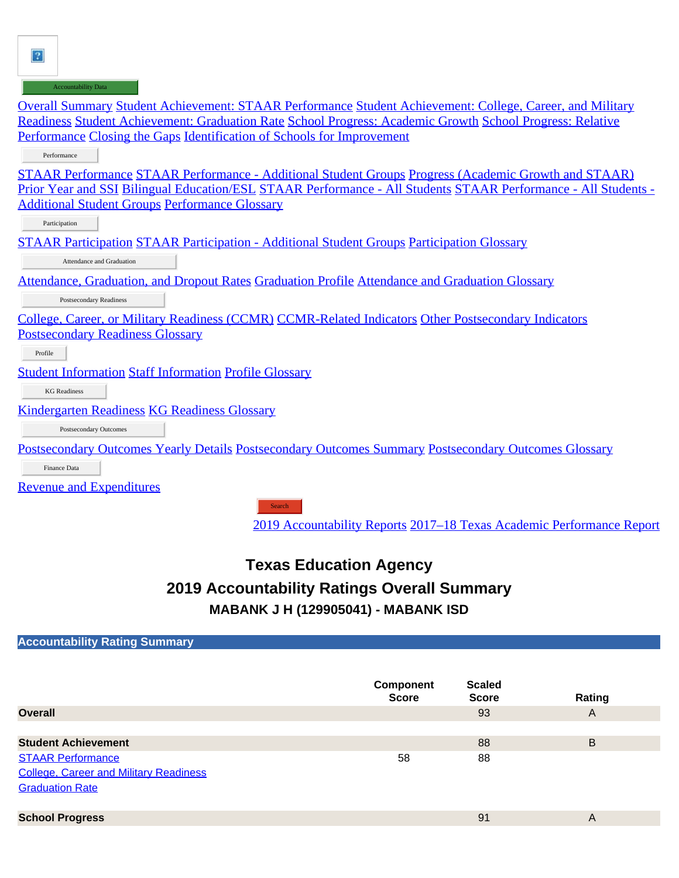$\vert$ ?

| <b>Accountability Data</b>                                                                                     |
|----------------------------------------------------------------------------------------------------------------|
| Overall Summary Student Achievement: STAAR Performance Student Achievement: College, Career, and Military      |
| Readiness Student Achievement: Graduation Rate School Progress: Academic Growth School Progress: Relative      |
| Performance Closing the Gaps Identification of Schools for Improvement                                         |
| Performance                                                                                                    |
| <u>STAAR Performance STAAR Performance - Additional Student Groups Progress (Academic Growth and STAAR)</u>    |
| Prior Year and SSI Bilingual Education/ESL STAAR Performance - All Students STAAR Performance - All Students - |
| <b>Additional Student Groups Performance Glossary</b>                                                          |
| Participation                                                                                                  |
| <u>STAAR Participation STAAR Participation - Additional Student Groups Participation Glossary</u>              |
| Attendance and Graduation                                                                                      |
| <u>Attendance, Graduation, and Dropout Rates Graduation Profile Attendance and Graduation Glossary</u>         |
| Postsecondary Readiness                                                                                        |
| <u>College, Career, or Military Readiness (CCMR) CCMR-Related Indicators Other Postsecondary Indicators</u>    |
| <b>Postsecondary Readiness Glossary</b>                                                                        |
| Profile                                                                                                        |
| <b>Student Information Staff Information Profile Glossary</b>                                                  |
| <b>KG</b> Readiness                                                                                            |
| <b>Kindergarten Readiness KG Readiness Glossary</b>                                                            |
| Postsecondary Outcomes                                                                                         |
| Postsecondary Outcomes Yearly Details Postsecondary Outcomes Summary Postsecondary Outcomes Glossary           |
| Finance Data                                                                                                   |
| <b>Revenue and Expenditures</b>                                                                                |
| Search                                                                                                         |

# **Search**

[2019 Accountability Reports](https://rptsvr1.tea.texas.gov/perfreport/account/2019/srch.html) [2017–18 Texas Academic Performance Report](https://rptsvr1.tea.texas.gov/perfreport/tapr/2018/srch.html)

## **Texas Education Agency 2019 Accountability Ratings Overall Summary MABANK J H (129905041) - MABANK ISD**

| <b>Accountability Rating Summary</b> |                                                              |                                |     |
|--------------------------------------|--------------------------------------------------------------|--------------------------------|-----|
|                                      |                                                              |                                |     |
|                                      |                                                              |                                |     |
|                                      | Component<br>$\blacksquare$ . The contract of $\blacksquare$ | <b>Scaled</b><br>$\rightarrow$ | - - |

|                                               | <b>Score</b> | <b>Score</b> | Rating                  |
|-----------------------------------------------|--------------|--------------|-------------------------|
| <b>Overall</b>                                |              | 93           | A                       |
|                                               |              |              |                         |
| <b>Student Achievement</b>                    |              | 88           | B                       |
| <b>STAAR Performance</b>                      | 58           | 88           |                         |
| <b>College, Career and Military Readiness</b> |              |              |                         |
| <b>Graduation Rate</b>                        |              |              |                         |
|                                               |              |              |                         |
| <b>School Progress</b>                        |              | 91           | $\overline{\mathsf{A}}$ |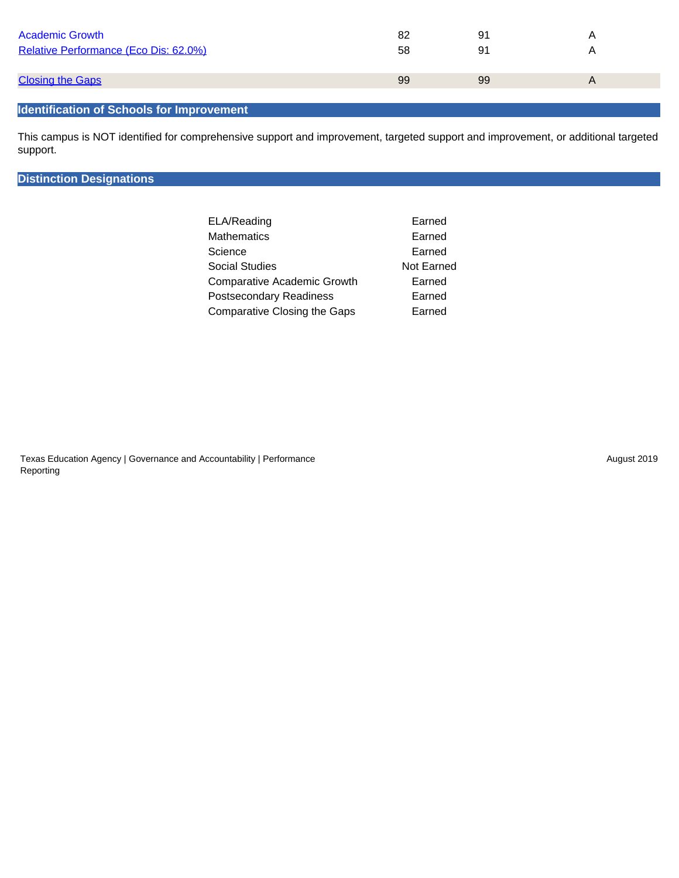| <b>Academic Growth</b><br>Relative Performance (Eco Dis: 62.0%) | 82<br>58 | 91<br>91 |  |
|-----------------------------------------------------------------|----------|----------|--|
| <b>Closing the Gaps</b>                                         | 99       | 99       |  |
|                                                                 |          |          |  |

#### **Identification of Schools for Improvement**

This campus is NOT identified for comprehensive support and improvement, targeted support and improvement, or additional targeted support.

#### **Distinction Designations**

| ELA/Reading                        | Earned            |
|------------------------------------|-------------------|
| Mathematics                        | Earned            |
| Science                            | Earned            |
| Social Studies                     | <b>Not Earned</b> |
| <b>Comparative Academic Growth</b> | Earned            |
| <b>Postsecondary Readiness</b>     | Earned            |
| Comparative Closing the Gaps       | Earned            |

Texas Education Agency | Governance and Accountability | Performance Reporting

August 2019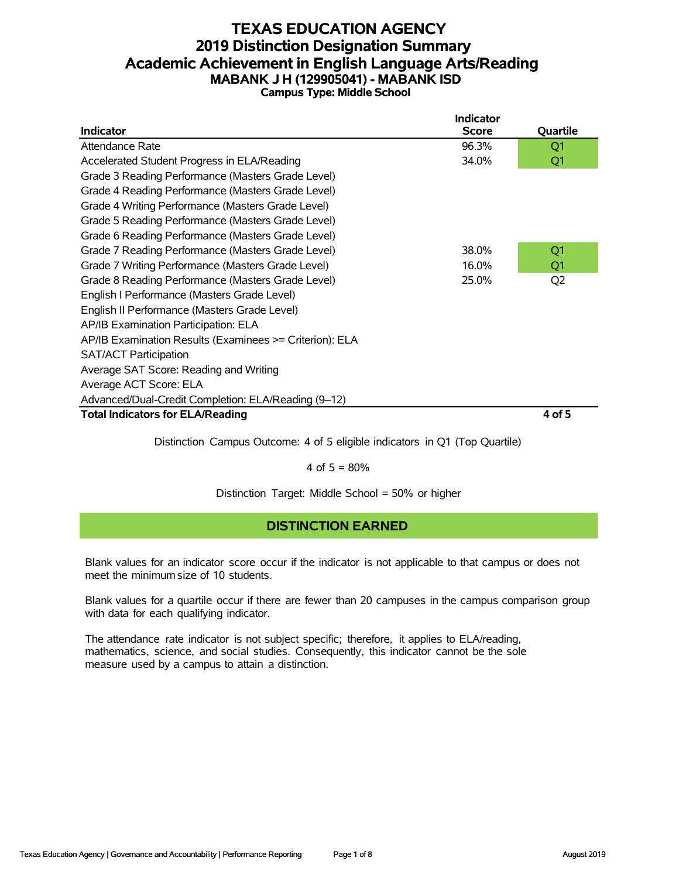#### **TEXAS EDUCATION AGENCY 2019 Distinction Designation Summary Academic Achievement in English Language Arts/Reading MABANK J H (129905041) - MABANK ISD Campus Type: Middle School**

|                                                         | <b>Indicator</b> |                |
|---------------------------------------------------------|------------------|----------------|
| <b>Indicator</b>                                        | <b>Score</b>     | Quartile       |
| Attendance Rate                                         | 96.3%            | Q1             |
| Accelerated Student Progress in ELA/Reading             | 34.0%            | Q1             |
| Grade 3 Reading Performance (Masters Grade Level)       |                  |                |
| Grade 4 Reading Performance (Masters Grade Level)       |                  |                |
| Grade 4 Writing Performance (Masters Grade Level)       |                  |                |
| Grade 5 Reading Performance (Masters Grade Level)       |                  |                |
| Grade 6 Reading Performance (Masters Grade Level)       |                  |                |
| Grade 7 Reading Performance (Masters Grade Level)       | 38.0%            | Q <sub>1</sub> |
| Grade 7 Writing Performance (Masters Grade Level)       | 16.0%            | Q1             |
| Grade 8 Reading Performance (Masters Grade Level)       | 25.0%            | Q <sub>2</sub> |
| English I Performance (Masters Grade Level)             |                  |                |
| English II Performance (Masters Grade Level)            |                  |                |
| AP/IB Examination Participation: ELA                    |                  |                |
| AP/IB Examination Results (Examinees >= Criterion): ELA |                  |                |
| <b>SAT/ACT Participation</b>                            |                  |                |
| Average SAT Score: Reading and Writing                  |                  |                |
| Average ACT Score: ELA                                  |                  |                |
| Advanced/Dual-Credit Completion: ELA/Reading (9-12)     |                  |                |
| <b>Total Indicators for ELA/Reading</b>                 |                  | 4 of 5         |

Distinction Campus Outcome: 4 of 5 eligible indicators in Q1 (Top Quartile)

4 of  $5 = 80%$ 

Distinction Target: Middle School = 50% or higher

## **DISTINCTION EARNED**

Blank values for an indicator score occur if the indicator is not applicable to that campus or does not meet the minimum size of 10 students.

Blank values for a quartile occur if there are fewer than 20 campuses in the campus comparison group with data for each qualifying indicator.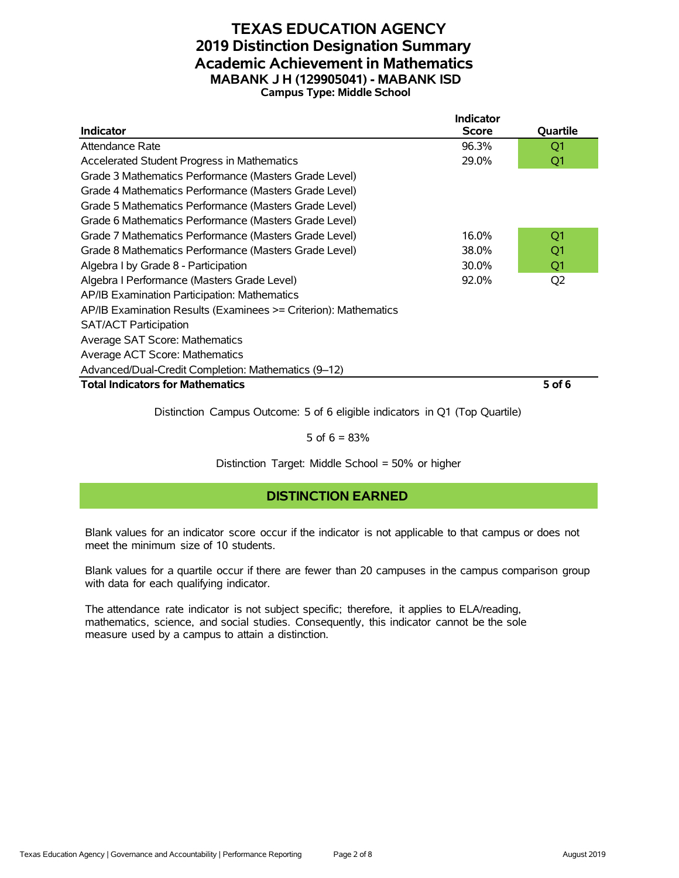#### **TEXAS EDUCATION AGENCY 2019 Distinction Designation Summary Academic Achievement in Mathematics MABANK J H (129905041) - MABANK ISD Campus Type: Middle School**

|                                                                 | <b>Indicator</b> |                |
|-----------------------------------------------------------------|------------------|----------------|
| <b>Indicator</b>                                                | <b>Score</b>     | Quartile       |
| Attendance Rate                                                 | 96.3%            | Q1             |
| Accelerated Student Progress in Mathematics                     | 29.0%            | Q1             |
| Grade 3 Mathematics Performance (Masters Grade Level)           |                  |                |
| Grade 4 Mathematics Performance (Masters Grade Level)           |                  |                |
| Grade 5 Mathematics Performance (Masters Grade Level)           |                  |                |
| Grade 6 Mathematics Performance (Masters Grade Level)           |                  |                |
| Grade 7 Mathematics Performance (Masters Grade Level)           | 16.0%            | Q1             |
| Grade 8 Mathematics Performance (Masters Grade Level)           | 38.0%            | Q1             |
| Algebra I by Grade 8 - Participation                            | 30.0%            | Q1             |
| Algebra I Performance (Masters Grade Level)                     | 92.0%            | Q <sub>2</sub> |
| AP/IB Examination Participation: Mathematics                    |                  |                |
| AP/IB Examination Results (Examinees >= Criterion): Mathematics |                  |                |
| <b>SAT/ACT Participation</b>                                    |                  |                |
| Average SAT Score: Mathematics                                  |                  |                |
| Average ACT Score: Mathematics                                  |                  |                |
| Advanced/Dual-Credit Completion: Mathematics (9-12)             |                  |                |
| <b>Total Indicators for Mathematics</b>                         |                  | $5$ of 6       |

Distinction Campus Outcome: 5 of 6 eligible indicators in Q1 (Top Quartile)

5 of  $6 = 83%$ 

Distinction Target: Middle School = 50% or higher

## **DISTINCTION EARNED**

Blank values for an indicator score occur if the indicator is not applicable to that campus or does not meet the minimum size of 10 students.

Blank values for a quartile occur if there are fewer than 20 campuses in the campus comparison group with data for each qualifying indicator.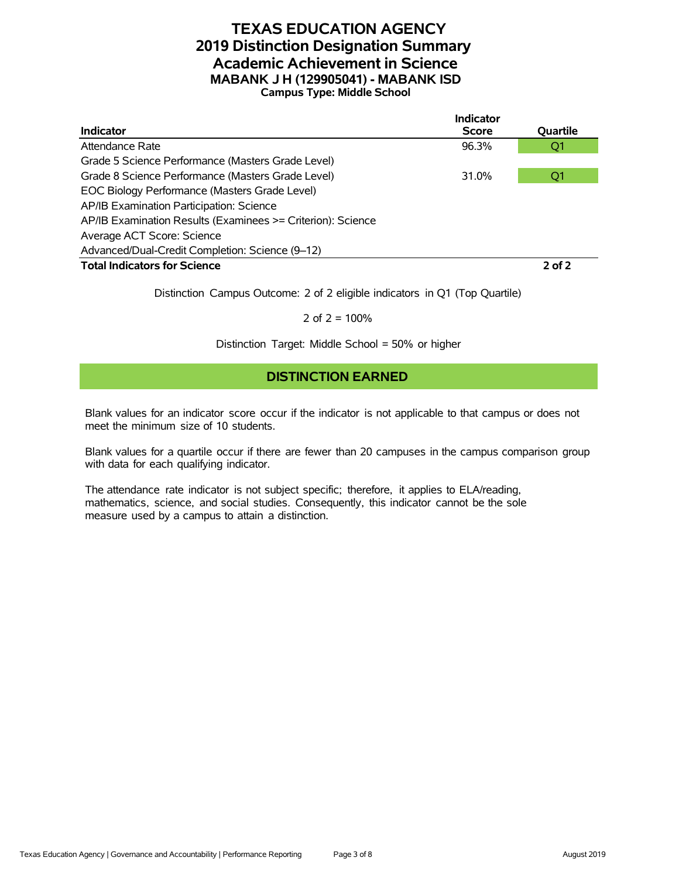#### **TEXAS EDUCATION AGENCY 2019 Distinction Designation Summary Academic Achievement in Science MABANK J H (129905041) - MABANK ISD Campus Type: Middle School**

|                                                             | <b>Indicator</b> |            |
|-------------------------------------------------------------|------------------|------------|
| Indicator                                                   | <b>Score</b>     | Quartile   |
| Attendance Rate                                             | 96.3%            | Q1         |
| Grade 5 Science Performance (Masters Grade Level)           |                  |            |
| Grade 8 Science Performance (Masters Grade Level)           | 31.0%            | Q1         |
| EOC Biology Performance (Masters Grade Level)               |                  |            |
| AP/IB Examination Participation: Science                    |                  |            |
| AP/IB Examination Results (Examinees >= Criterion): Science |                  |            |
| Average ACT Score: Science                                  |                  |            |
| Advanced/Dual-Credit Completion: Science (9-12)             |                  |            |
| <b>Total Indicators for Science</b>                         |                  | $2$ of $2$ |

Distinction Campus Outcome: 2 of 2 eligible indicators in Q1 (Top Quartile)

2 of  $2 = 100%$ 

Distinction Target: Middle School = 50% or higher

#### **DISTINCTION EARNED**

Blank values for an indicator score occur if the indicator is not applicable to that campus or does not meet the minimum size of 10 students.

Blank values for a quartile occur if there are fewer than 20 campuses in the campus comparison group with data for each qualifying indicator.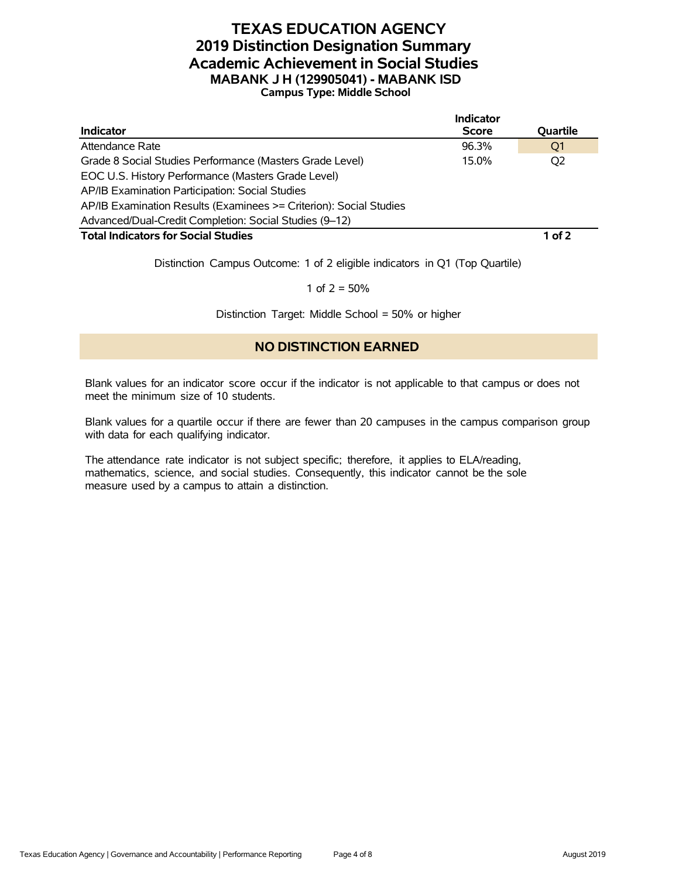#### **TEXAS EDUCATION AGENCY 2019 Distinction Designation Summary Academic Achievement in Social Studies MABANK J H (129905041) - MABANK ISD Campus Type: Middle School**

|                                                                    | <b>Indicator</b> |          |
|--------------------------------------------------------------------|------------------|----------|
| <b>Indicator</b>                                                   | <b>Score</b>     | Quartile |
| Attendance Rate                                                    | 96.3%            | O1       |
| Grade 8 Social Studies Performance (Masters Grade Level)           | 15.0%            | Q2       |
| EOC U.S. History Performance (Masters Grade Level)                 |                  |          |
| AP/IB Examination Participation: Social Studies                    |                  |          |
| AP/IB Examination Results (Examinees >= Criterion): Social Studies |                  |          |
| Advanced/Dual-Credit Completion: Social Studies (9-12)             |                  |          |
| <b>Total Indicators for Social Studies</b>                         |                  | $1$ of 2 |
|                                                                    |                  |          |

Distinction Campus Outcome: 1 of 2 eligible indicators in Q1 (Top Quartile)

1 of  $2 = 50%$ 

Distinction Target: Middle School = 50% or higher

#### **NO DISTINCTION EARNED**

Blank values for an indicator score occur if the indicator is not applicable to that campus or does not meet the minimum size of 10 students.

Blank values for a quartile occur if there are fewer than 20 campuses in the campus comparison group with data for each qualifying indicator.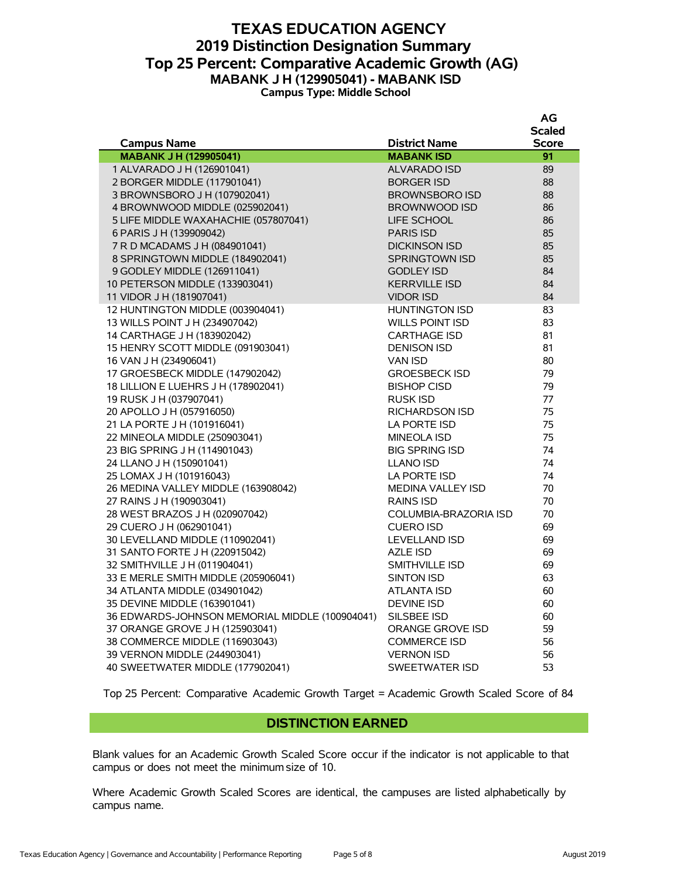#### **TEXAS EDUCATION AGENCY 2019 Distinction Designation Summary Top 25 Percent: Comparative Academic Growth (AG) MABANK J H (129905041) - MABANK ISD Campus Type: Middle School**

|                                                |                        | AG            |
|------------------------------------------------|------------------------|---------------|
|                                                |                        | <b>Scaled</b> |
| <b>Campus Name</b>                             | <b>District Name</b>   | <b>Score</b>  |
| <b>MABANK J H (129905041)</b>                  | <b>MABANK ISD</b>      | 91            |
| 1 ALVARADO J H (126901041)                     | ALVARADO ISD           | 89            |
| 2 BORGER MIDDLE (117901041)                    | <b>BORGER ISD</b>      | 88            |
| 3 BROWNSBORO J H (107902041)                   | <b>BROWNSBORO ISD</b>  | 88            |
| 4 BROWNWOOD MIDDLE (025902041)                 | BROWNWOOD ISD          | 86            |
| 5 LIFE MIDDLE WAXAHACHIE (057807041)           | LIFE SCHOOL            | 86            |
| 6 PARIS J H (139909042)                        | PARIS ISD              | 85            |
| 7 R D MCADAMS J H (084901041)                  | <b>DICKINSON ISD</b>   | 85            |
| 8 SPRINGTOWN MIDDLE (184902041)                | SPRINGTOWN ISD         | 85            |
| 9 GODLEY MIDDLE (126911041)                    | <b>GODLEY ISD</b>      | 84            |
| 10 PETERSON MIDDLE (133903041)                 | <b>KERRVILLE ISD</b>   | 84            |
| 11 VIDOR J H (181907041)                       | <b>VIDOR ISD</b>       | 84            |
| 12 HUNTINGTON MIDDLE (003904041)               | <b>HUNTINGTON ISD</b>  | 83            |
| 13 WILLS POINT J H (234907042)                 | <b>WILLS POINT ISD</b> | 83            |
| 14 CARTHAGE J H (183902042)                    | <b>CARTHAGE ISD</b>    | 81            |
| 15 HENRY SCOTT MIDDLE (091903041)              | <b>DENISON ISD</b>     | 81            |
| 16 VAN J H (234906041)                         | <b>VAN ISD</b>         | 80            |
| 17 GROESBECK MIDDLE (147902042)                | <b>GROESBECK ISD</b>   | 79            |
| 18 LILLION E LUEHRS J H (178902041)            | <b>BISHOP CISD</b>     | 79            |
| 19 RUSK J H (037907041)                        | RUSK ISD               | 77            |
| 20 APOLLO J H (057916050)                      | <b>RICHARDSON ISD</b>  | 75            |
| 21 LA PORTE J H (101916041)                    | LA PORTE ISD           | 75            |
| 22 MINEOLA MIDDLE (250903041)                  | <b>MINEOLA ISD</b>     | 75            |
| 23 BIG SPRING J H (114901043)                  | <b>BIG SPRING ISD</b>  | 74            |
| 24 LLANO J H (150901041)                       | <b>LLANO ISD</b>       | 74            |
| 25 LOMAX J H (101916043)                       | LA PORTE ISD           | 74            |
| 26 MEDINA VALLEY MIDDLE (163908042)            | MEDINA VALLEY ISD      | 70            |
| 27 RAINS J H (190903041)                       | <b>RAINS ISD</b>       | 70            |
| 28 WEST BRAZOS J H (020907042)                 | COLUMBIA-BRAZORIA ISD  | 70            |
| 29 CUERO J H (062901041)                       | <b>CUERO ISD</b>       | 69            |
| 30 LEVELLAND MIDDLE (110902041)                | <b>LEVELLAND ISD</b>   | 69            |
| 31 SANTO FORTE J H (220915042)                 | <b>AZLE ISD</b>        | 69            |
| 32 SMITHVILLE J H (011904041)                  | SMITHVILLE ISD         | 69            |
| 33 E MERLE SMITH MIDDLE (205906041)            | SINTON ISD             | 63            |
| 34 ATLANTA MIDDLE (034901042)                  | <b>ATLANTA ISD</b>     | 60            |
| 35 DEVINE MIDDLE (163901041)                   | <b>DEVINE ISD</b>      | 60            |
| 36 EDWARDS-JOHNSON MEMORIAL MIDDLE (100904041) | SILSBEE ISD            | 60            |
| 37 ORANGE GROVE J H (125903041)                | ORANGE GROVE ISD       | 59            |
| 38 COMMERCE MIDDLE (116903043)                 | <b>COMMERCE ISD</b>    | 56            |
| 39 VERNON MIDDLE (244903041)                   | <b>VERNON ISD</b>      | 56            |
| 40 SWEETWATER MIDDLE (177902041)               | <b>SWEETWATER ISD</b>  | 53            |

Top 25 Percent: Comparative Academic Growth Target = Academic Growth Scaled Score of 84

#### **DISTINCTION EARNED**

Blank values for an Academic Growth Scaled Score occur if the indicator is not applicable to that campus or does not meet the minimum size of 10.

Where Academic Growth Scaled Scores are identical, the campuses are listed alphabetically by campus name.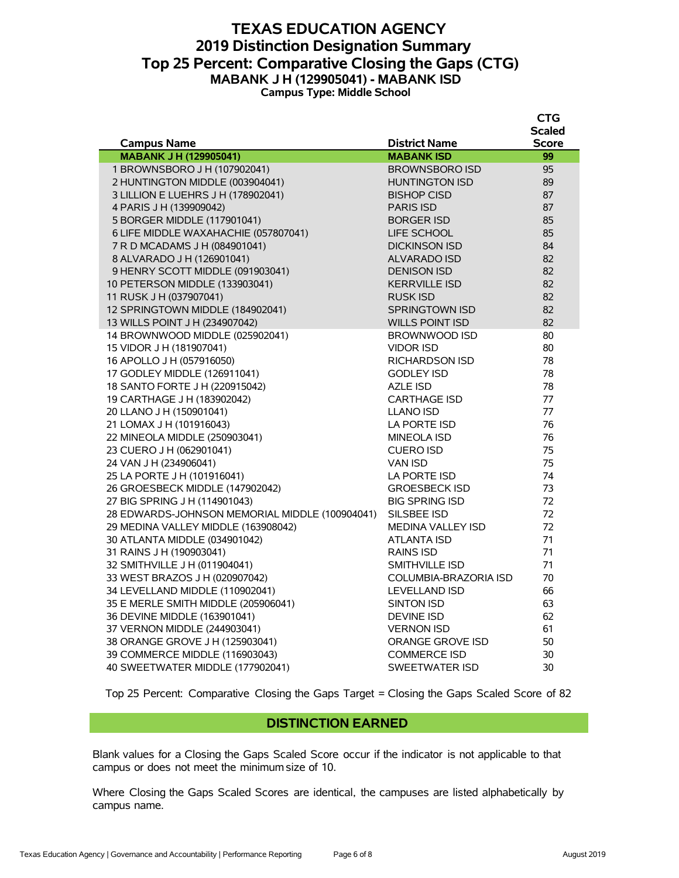#### **TEXAS EDUCATION AGENCY 2019 Distinction Designation Summary Top 25 Percent: Comparative Closing the Gaps (CTG) MABANK J H (129905041) - MABANK ISD Campus Type: Middle School**

|                                                |                          | <b>CTG</b>    |
|------------------------------------------------|--------------------------|---------------|
|                                                |                          | <b>Scaled</b> |
| <b>Campus Name</b>                             | <b>District Name</b>     | <b>Score</b>  |
| <b>MABANK J H (129905041)</b>                  | <b>MABANK ISD</b>        | 99            |
| 1 BROWNSBORO J H (107902041)                   | <b>BROWNSBORO ISD</b>    | 95            |
| 2 HUNTINGTON MIDDLE (003904041)                | <b>HUNTINGTON ISD</b>    | 89            |
| 3 LILLION E LUEHRS J H (178902041)             | <b>BISHOP CISD</b>       | 87            |
| 4 PARIS J H (139909042)                        | <b>PARIS ISD</b>         | 87            |
| 5 BORGER MIDDLE (117901041)                    | <b>BORGER ISD</b>        | 85            |
| 6 LIFE MIDDLE WAXAHACHIE (057807041)           | LIFE SCHOOL              | 85            |
| 7 R D MCADAMS J H (084901041)                  | <b>DICKINSON ISD</b>     | 84            |
| 8 ALVARADO J H (126901041)                     | ALVARADO ISD             | 82            |
| 9 HENRY SCOTT MIDDLE (091903041)               | <b>DENISON ISD</b>       | 82            |
| 10 PETERSON MIDDLE (133903041)                 | <b>KERRVILLE ISD</b>     | 82            |
| 11 RUSK J H (037907041)                        | <b>RUSK ISD</b>          | 82            |
| 12 SPRINGTOWN MIDDLE (184902041)               | SPRINGTOWN ISD           | 82            |
| 13 WILLS POINT J H (234907042)                 | <b>WILLS POINT ISD</b>   | 82            |
| 14 BROWNWOOD MIDDLE (025902041)                | <b>BROWNWOOD ISD</b>     | 80            |
| 15 VIDOR J H (181907041)                       | <b>VIDOR ISD</b>         | 80            |
| 16 APOLLO J H (057916050)                      | <b>RICHARDSON ISD</b>    | 78            |
| 17 GODLEY MIDDLE (126911041)                   | <b>GODLEY ISD</b>        | 78            |
| 18 SANTO FORTE J H (220915042)                 | <b>AZLE ISD</b>          | 78            |
| 19 CARTHAGE J H (183902042)                    | <b>CARTHAGE ISD</b>      | 77            |
| 20 LLANO J H (150901041)                       | <b>LLANO ISD</b>         | 77            |
| 21 LOMAX J H (101916043)                       | LA PORTE ISD             | 76            |
| 22 MINEOLA MIDDLE (250903041)                  | <b>MINEOLA ISD</b>       | 76            |
| 23 CUERO J H (062901041)                       | <b>CUERO ISD</b>         | 75            |
| 24 VAN J H (234906041)                         | <b>VAN ISD</b>           | 75            |
| 25 LA PORTE J H (101916041)                    | LA PORTE ISD             | 74            |
| 26 GROESBECK MIDDLE (147902042)                | <b>GROESBECK ISD</b>     | 73            |
| 27 BIG SPRING J H (114901043)                  | <b>BIG SPRING ISD</b>    | 72            |
| 28 EDWARDS-JOHNSON MEMORIAL MIDDLE (100904041) | SILSBEE ISD              | 72            |
| 29 MEDINA VALLEY MIDDLE (163908042)            | <b>MEDINA VALLEY ISD</b> | 72            |
| 30 ATLANTA MIDDLE (034901042)                  | <b>ATLANTA ISD</b>       | 71            |
| 31 RAINS J H (190903041)                       | <b>RAINS ISD</b>         | 71            |
| 32 SMITHVILLE J H (011904041)                  | SMITHVILLE ISD           | 71            |
| 33 WEST BRAZOS J H (020907042)                 | COLUMBIA-BRAZORIA ISD    | 70            |
| 34 LEVELLAND MIDDLE (110902041)                | <b>LEVELLAND ISD</b>     | 66            |
| 35 E MERLE SMITH MIDDLE (205906041)            | <b>SINTON ISD</b>        | 63            |
| 36 DEVINE MIDDLE (163901041)                   | <b>DEVINE ISD</b>        | 62            |
| 37 VERNON MIDDLE (244903041)                   | <b>VERNON ISD</b>        | 61            |
| 38 ORANGE GROVE J H (125903041)                | ORANGE GROVE ISD         | 50            |
| 39 COMMERCE MIDDLE (116903043)                 | <b>COMMERCE ISD</b>      | 30            |
| 40 SWEETWATER MIDDLE (177902041)               | <b>SWEETWATER ISD</b>    | 30            |

Top 25 Percent: Comparative Closing the Gaps Target = Closing the Gaps Scaled Score of 82

#### **DISTINCTION EARNED**

Blank values for a Closing the Gaps Scaled Score occur if the indicator is not applicable to that campus or does not meet the minimum size of 10.

Where Closing the Gaps Scaled Scores are identical, the campuses are listed alphabetically by campus name.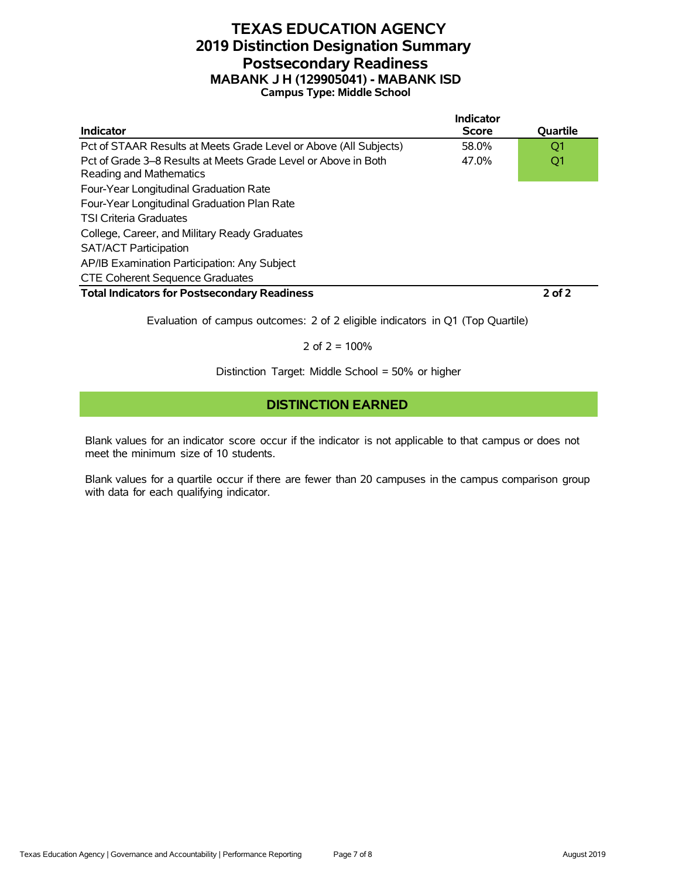#### **TEXAS EDUCATION AGENCY 2019 Distinction Designation Summary Postsecondary Readiness MABANK J H (129905041) - MABANK ISD Campus Type: Middle School**

|                                                                                           | Indicator    |                 |
|-------------------------------------------------------------------------------------------|--------------|-----------------|
| <b>Indicator</b>                                                                          | <b>Score</b> | <b>Ouartile</b> |
| Pct of STAAR Results at Meets Grade Level or Above (All Subjects)                         | 58.0%        | O1              |
| Pct of Grade 3–8 Results at Meets Grade Level or Above in Both<br>Reading and Mathematics | 47.0%        | Q1              |
| Four-Year Longitudinal Graduation Rate                                                    |              |                 |
| Four-Year Longitudinal Graduation Plan Rate                                               |              |                 |
| <b>TSI Criteria Graduates</b>                                                             |              |                 |
| College, Career, and Military Ready Graduates                                             |              |                 |
| <b>SAT/ACT Participation</b>                                                              |              |                 |
| AP/IB Examination Participation: Any Subject                                              |              |                 |
| <b>CTE Coherent Sequence Graduates</b>                                                    |              |                 |
| <b>Total Indicators for Postsecondary Readiness</b>                                       |              | $2$ of $2$      |

Evaluation of campus outcomes: 2 of 2 eligible indicators in Q1 (Top Quartile)

2 of  $2 = 100%$ 

Distinction Target: Middle School = 50% or higher

## **DISTINCTION EARNED**

Blank values for an indicator score occur if the indicator is not applicable to that campus or does not meet the minimum size of 10 students.

Blank values for a quartile occur if there are fewer than 20 campuses in the campus comparison group with data for each qualifying indicator.